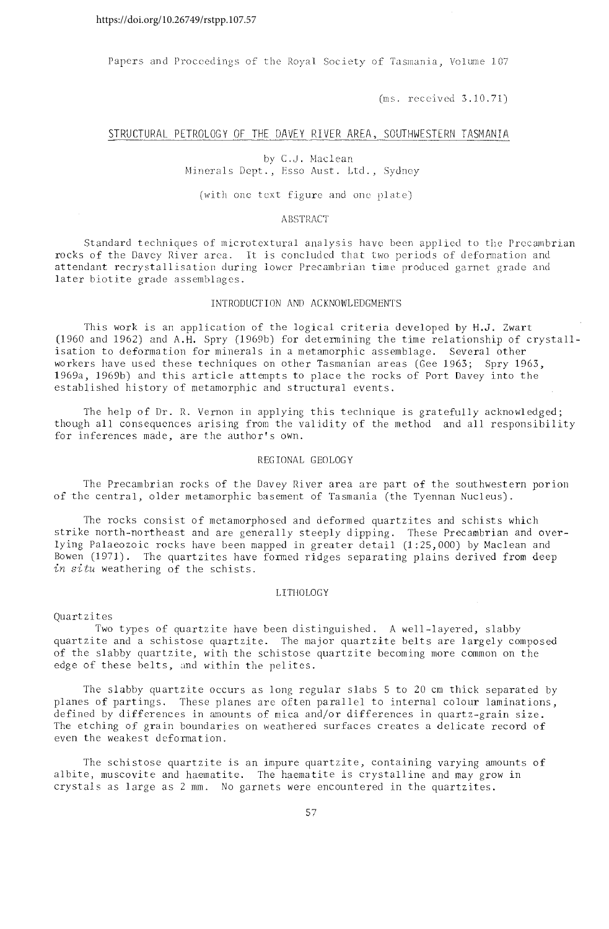Papers and Proceedings of the Royal Society of Tasmania, Volume 107

 $(ms. received 3.10.71)$ 

## STRUCTURAL PETROLOGY OF THE DAVEY RIVER AREA, SOUTHWESTERN TASMANIA

## by C.J. Maclean

Minerals Dept., Esso Aust. Ltd., Sydney

## (with one text figure and one plate)

## **ABSTRACT**

of microtextural analysis have been applied to the Precambrian area. It is concluded that two periods of deformation and attendant recrystallisation during lower Precambrian time produced garnet grade and later biotite grade assemblages.

# INTRODUCTION AND ACKNOWLEDGMENTS

This work is an application of the logical criteria developed by H.J. Zwart  $(1960 \text{ and } 1962)$  and A.H. Spry  $(1969b)$  for determining the time relationship of crystallisation to deformation for minerals in a metamorphic assemblage. Several other workers have used these techniques on other Tasmanian areas (Gee 1963; Spry 1963, 1969a, 1969b) and this article attempts to place the rocks of Port Davey into the established history of metamorphic and structural events.

The help of Dr. R. Vernon in applying this technique is gratefully acknowledged; though all consequences arising from the validity of the method and all responsibility for inferences made, are the author's own.

# REGIONAL GEOLOGY

The Precambrian rocks of the Davey River area are part of the southwestern porion of the central, older metamorphic basement of Tasmania (the Tyennan Nucleus).

The rocks consist of metamorphosed and deformed quartzites and schists which strike north-northeast and are generally steeply dipping. These Precambrian and overlying Palaeozoic rocks have been mapped in greater detail (1:25,000) by Maclean and Bowen (1971). The quartzites have formed ridges separating plains derived from deep *in situ* weathering of the schists.

# LITHOLOGY

Quartzites

Two types of quartzite have been distinguished. A well-layered, slabby quartzite and a schistose quartzite. The major quartzite belts are largely composed of the slabby quartzite, with the schistose quartzite becoming more common on the edge of these belts, and within the pelites.

The slabby quartzite occurs as long regular slabs 5 to 20 cm thick separated by planes of partings. These planes are often parallel to internal colour laminations, defined by differences in amounts of mica and/or differences in quartz-grain size. The etching of grain boundaries on weathered surfaces creates a delicate record of even the weakest deformation.

The schistose quartzite is an impure quartzite, containing varying amounts of albite, muscovite and haematite. The haematite is crystalline and may grow in crystals as large as 2 mm. No garnets were encountered in the quartzites.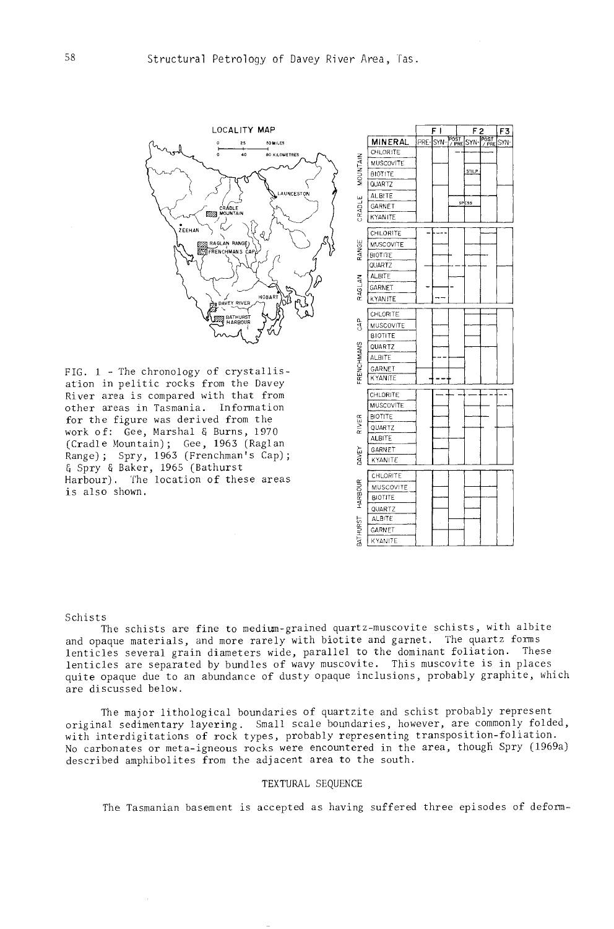

FIG. 1 - The chronology of crystallisation in pelitic rocks from the Davey River area is compared with that from other areas in Tasmania. Information for the figure was derived from the work of: Gee, Marshal & Burns, 1970 (Cradle Mountain); Gee, 1963 (Raglan Range); Spry, 1963 (Frenchman's Cap); a Spry & Baker, 1965 (Bathurst Harbour). The location of these areas is also shown.



#### Schists

The schists are fine to medium-grained quartz--muscovite schists, with albite and opaque materials, and more rarely with biotite and garnet. The quartz forms lenticles several grain diameters wide, parallel to the dominant foliation. These lenticles are separated by bundles of wavy muscovite. This muscovite is in places quite opaque due to an abundance of dusty opaque inclusions, probably graphite, which are discussed below.

The major lithological boundaries of quartzite and schist probably represent original sedimentary layering. Small scale boundaries, however, are commonly folded, with interdigitations of rock types, probably representing transposition-foliation. No carbonates or meta-igneous rocks were encountered in the area, though Spry (1969a) described amphibolites from the adjacent area to the south.

### TEXTURAL SEQUENCE

The Tasmanian basement is accepted as having suffered three episodes of deform-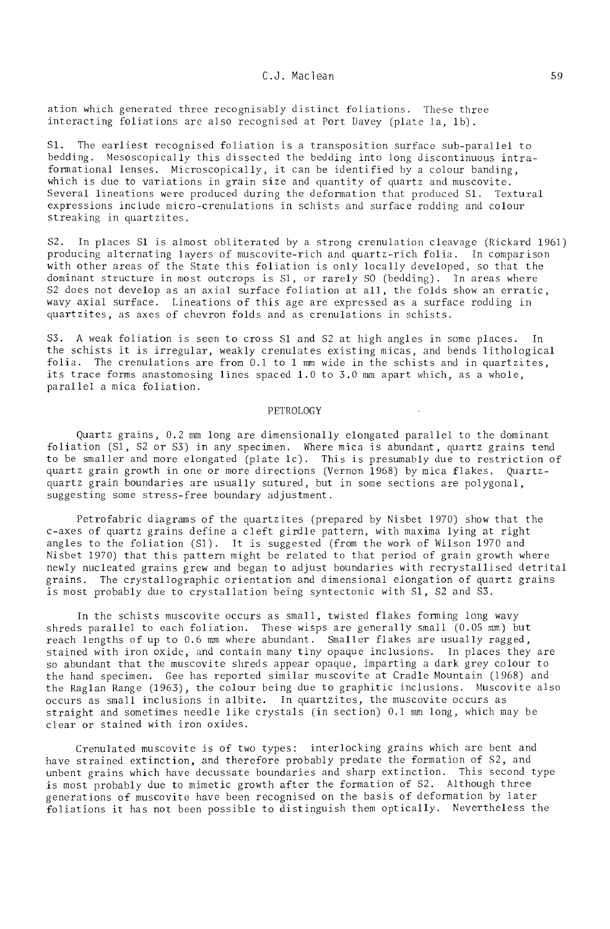## C.J. Maclean

ation which generated three recognisably distinct foliations. These three interacting foliations are also recognised at Port Davey (plate la, 1b).

S1. The earliest recognised foliation is a transposition surface sub-parallel to bedding. Mesoscopically this dissected the bedding into long discontinuous intraformational lenses. Microscopically, it can be identified by a colour banding, which is due to variations in grain size and quantity of quartz and muscovite. Several lineations were produced during the deformation that produced S1. Textural expressions include micro-crenulations in schists and surface rodding and colour streaking in *quartzites*.

S2. In places Sl is almost obliterated by a strong crenulation cleavage (Rickard 1961) producing alternating layers of muscovite-rich and quartz-rich folia. In comparison with other areas of the State this foliation is only locally developed, so that the dominant structure in most outcrops is S1, or rarely SO (bedding). In areas where S2 does not develop as an axial surface foliation at all, the folds show an erratic, wavy axial surface. Lineations of this age are expressed as a surface rodding in quartzites, as axes of chevron folds and as crenulations in schists.

S3. A weak foliation is seen to cross Sl and S2 at high angles in some places. In the schists it is irregular, weakly crenulates existing micas, and bends lithological folia. The crenulations are from 0.1 to 1 mm wide in the schists and in quartzites, its trace forms anastomosing lines spaced 1.0 to 3.0 mm apart which, as a whole, parallel a mica foliation.

## PETROLOGY

Quartz grains, 0.2 mm long are dimensionally elongated parallel to the dominant foliation (Sl, S2 or S3) in any specimen. Where mica is abundant, quartz grains tend to be smaller and more elongated (plate lc). This is preswnably due to restriction of quartz grain growth in one or more directions (Vernon 1968) by mica flakes. Quartzquartz grain boundaries are usually sutured, but in some sections are polygonal, suggesting some stress-free boundary adjustment.

Petrofabric diagrams of the quartzites (prepared by Nisbet 1970) show that the c-axes of quartz grains define a cleft girdle pattern, with maxima lying at right angles to the foliation (51). It is suggested (from the work of Wilson 1970 and Nisbet 1970) that this pattern might be related to that period of grain growth where newly nucleated grains grew and began to adjust boundaries with recrystallised detrital grains. The crystallographic orientation and dimensional elongation of quartz grains is most probably due to crystallation being syntectonic with Sl, S2 and S3.

In the schists muscovite occurs as small, twisted flakes forming long wavy shreds parallel to each foliation. These wisps are generally small  $(0.05 \text{ mm})$  but reach lengths of up to 0.6 mm where abundant. Smaller flakes are usually ragged, stained with iron oxide, and contain many tiny opaque inclusions. In places they are so abundant that the muscovite shreds appear opaque, imparting a dark grey colour to the hand specimen, Gee has reported similar muscovite at Cradle Mountain (1968) and the Raglan Range (1963), the colour being due to graphitic inclusions. Muscovite also occurs as small inclusions in albite. In quartzites, the muscovite occurs as straight and sometimes needle like crystals (in section) 0.1 mm long, which may be clear or stained with iron oxides.

Crenulated muscovite is of two types: interlocking grains which are bent and have strained extinction, and therefore probably predate the formation of S2, and unbent grains which have decussate boundaries and sharp extinction. This second type is most probably due to mimetic growth after the formation of S2. Although three generations of muscovite have been recognised on the basis of defomation by later foliations it has not been possible to distinguish them optically. Nevertheless the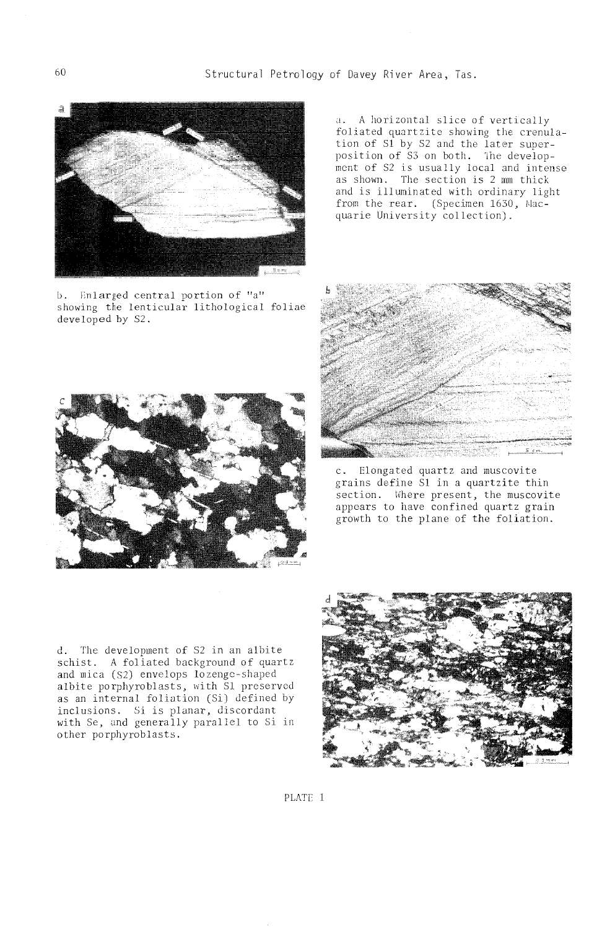60 Structural Petrology of *Davey* River Area, Tas.



b. Fnlarged central portion of "a" showing the lenticular lithological foliae developed by S2.

a. A horizontal slice of vertically foliated quartzite showing the crenulation of S1 by S2 and the later superposition of S3 on both. The development of S2 is usually local and intense as shown. The section is 2 mm thick and is illuminated with ordinary light from the rear. (Specimen  $1630$ , Macquarie University collection).



e. Elongated quartz and muscovite grains define Sl in a quartzite thin section. Where present, the muscovite appears to have confined quartz grain growth to the plane of the foliation.



d. The development of 82 in an albite schist. A foliated background of quartz and mica (S2) envelops lozenge-shaped albite porphyroblasts, with S1 preserved **as** an internal foliation (Si) inclusions. Si is planar, discordant with Se, and generally parallel to Si in other porphyroblasts.



PLATE 1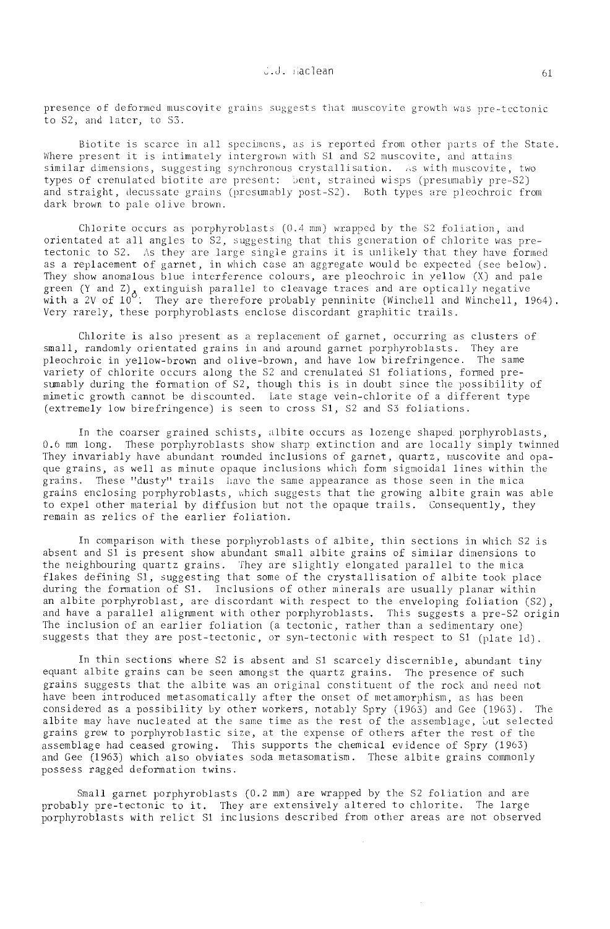presence of deformed muscovite grains suggests that muscovite growth was pre-tectonic to S2, and later, to S3.

Biotite is scarce in all specimens, as is reported from other parts of the State. Where present it is intimately intergrown with S1 and S2 muscovite, and attains  $\sin$ ilar dimensions, suggesting synchronous crystallisation. As with muscovite, two types of crenulated biotite are present: Sent, strained wisps (presumably pre-S2) and straight, decussate grains (presumably post-S2). Both types are pleochroic from dark brown to pale olive brown.

Chlorite occurs as porphyroblasts  $(0.4 \text{ mm})$  wrapped by the S2 foliation, and orientated at all angles to  $S2$ , suggesting that this generation of chlorite was pretectonic to S2. As they are large single grains it is unlikely that they have formed as a replacement of garnet, in which case an aggregate would be expected (see below). They show anomalous blue interference colours, are pleochroic in yellow *(X)* and pale green (Y and Z) extinguish parallel to cleavage traces and are optically negative with a 2V of  $10^{\circ}$ . They are therefore probably penninite (Winchell and Winchell, 1964). Very rarely, these porphyroblasts enclose discordant graphitic trails.

Chlorite is also present as a replacement of garnet, occurring as clusters of small, randomly orientated grains in and around garnet porphyroblasts. They are pleochroic in yellow-brown and olive-brown, and have low birefringence. The same variety of chlorite occurs along the S2 and crenulated S1 foliations, formed presumably during the formation of S2, though this is in doubt since the possibility of mimetic growth cannot be discounted. Late stage vein-chlorite of a different type (extremely low birefringence) is seen to cross S1, S2 and S3 foliations.

In the coarser grained schists, albite occurs as lozenge shaped porphyroblasts, 0.6 mm long. These porphyroblasts show sharp extinction and are locally simply twinned They invariably have abundant rounded inclusions of garnet, quartz, muscovite and opaque grains, as well as minute opaque inclusions which form sigmoidal lines within the grains. These "dusty" trails lave the same appearance as those seen in the mica grains enclosing porphyroblasts, which suggests that the growing albite grain was able to expel other material by diffusion but not the opaque trails. Consequently, they remain as relics of the earlier foliation.

In comparison with these porphyroblasts of albite, thin sections in which S2 is absent and S1 is present show abundant small albite grains of similar dimensions to the neighbouring quartz grains. They are slightly elongated parallel to the mica flakes defining Sl, suggesting that some of the crystallisation of albite took place during the formation of S1. Inclusions of other minerals are usually planar within an albite porphyroblast, are discordant with respect to the enveloping foliation (S2), and have a parallel alignment with other porphyroblasts. This suggests a pre-S2 origin The inclusion of an earlier foliation (a tectonic, rather than a sedimentary one) suggests that they are post-tectonic, or syn-tectonic with respect to  $S1$  (plate  $1d$ ).

In thin sections where S2 is absent and S1 scarceJy discernible, abundant tiny equant albite grains can be seen amongst the quartz grains. The presence of such grains suggests that the albite was an original constituent of the rock and need not have been introduced metasomatically after the onset of metamorphism, as has been considered as a possibility by other workers, notably Spry  $(1963)$  and Gee  $(1963)$ . albite may have nucleated at the same time as the rest of the assemblage, but selected grains grew to porphyroblastic size, at the expense of others after rest of the assemblage had ceased growing. This supports the chemical evidence of Spry (1963) and Gee (1963) which also obviates soda metasomatism. These albite grains commonly possess ragged deformation twins.

Small garnet porphyroblasts (0.2 mm) are wrapped by the S2 foliation and are probably pre-tectonic to it. They are extensively altered to chlorite. The large porphyroblasts with relict S1 inclusions described from other areas are not observed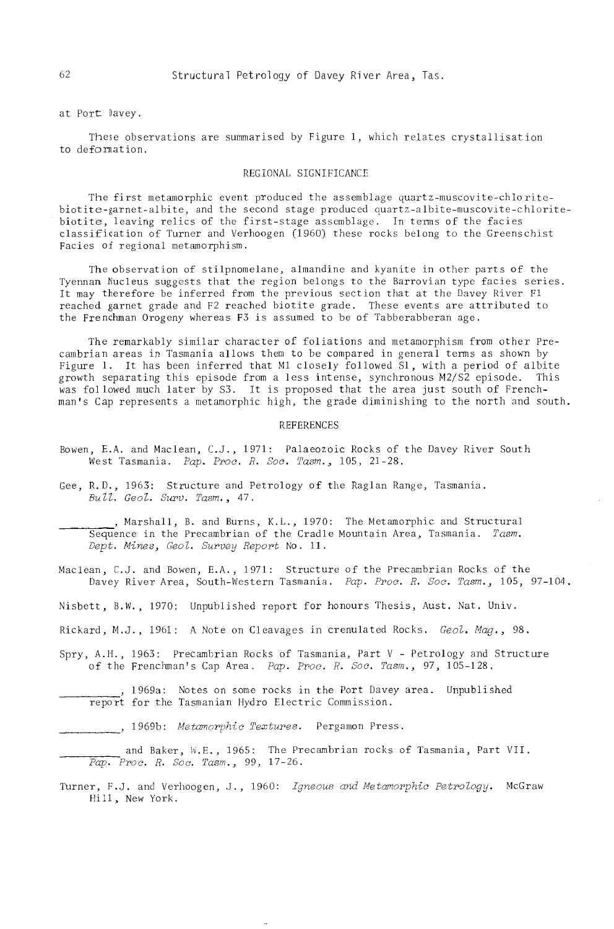at Port Davey.

These observations are summarised by Figure 1, which relates crystallisation to deformation.

# REGIONAL SIGNIFICANCE

The first metamorphic event produced the assemblage quartz-muscovite-chloritebiotite-garnet-albite, and the second stage produced quartz-albite-muscovite-chloritebiotite, leaving relics of the first-stage assemblage, In tenns of the facies classification of Turner and Verhoogen (1960) these rocks belong to the Greenschist Facies of regional metamorphism.

The observation of stilpnomelane, almandine and kyanite in other parts of tho Tyennan Nucleus suggests that the region belongs to the Barrovian type facies series. It may therefore be inferred from the previous section that at the Davey River F1 reached garnet grade and F2 reached biotite grade. These events are attributed to the Frenchman Orogeny whereas F3 is assumed to be of Tabberabberan age,

The remarkably similar character of foliations and metamorphism from other Precambrian areas in Tasmania allows them to be compared in general terms as shown by Figure 1. It has been inferred that M1 closely followed S1, with a period of albite growth separating this episode from a less intense, synchronous M2/S2 episode. This was followed much later by S3. It is proposed that the area just south of Frenchman's Cap represents a metamorphic high, the grade diminishing to the north and south.

#### REFERENCES

- Bowen, E.A. and Maclean, C.J., 1971: Palaeozoic Rocks of the Davey River South West Tasmania. *Pap. Proc. R. Soc. Tasm.,* 105, 21-28.
- Gee, R.D., 1963: Structure and Petrology of the Raglan Range, Tasmania. *Bull. Geol. Surv. Tasm.*, 47.

\_\_ ~ \_\_ ' Marshall, B. and Burns, K.L., 1970: The Metamorphic and Structural Sequence in the Precambrian of the Cradle Mountain Area, Tasmania. Tasm. *Dept. Miner;, Geo l. Swovey Report* No. 11.

Maclean, C.J. and Bowen, E.A., 1971: Structure of the Precambrian Rocks of the Davey River Area, South-Western Tasmania. *Pap. Proc. R. Soc. Tasm.*, 105, 97-104.

Nisbett, B.W., 1970: Unpublished report for honours Thesis, Aust. Nat. Univ.

- Rickard, M.J., 1961: A Note on Cleavages in crenulated Rocks. *Geol. Mag., 98.*
- Spry, A.H., 1963: Precambrian Rocks of Tasmania, Part V Petrology and Structure of the Frenchman's Cap Area. *Pap. ppoe. R. Soe. Tasrn.,* 97, 105-128.

1969a: Notes on some rocks in the Port Davey area.. Unpublished report for the Tasmanian Hydro Electric Commission.

1969b: *Metamorphic Textures*. Pergamon Press.

and Baker, W.E., 1965: The Precambrian rocks of Tasmania, Part VII. *----Pap. Proc. R. Soc. Tasm.,* 99, 17-26.

Turner, F.J. and Verhoogen, J., 1960: *Igneous and Metamorphic Petrology*. McGraw Hill, New York.